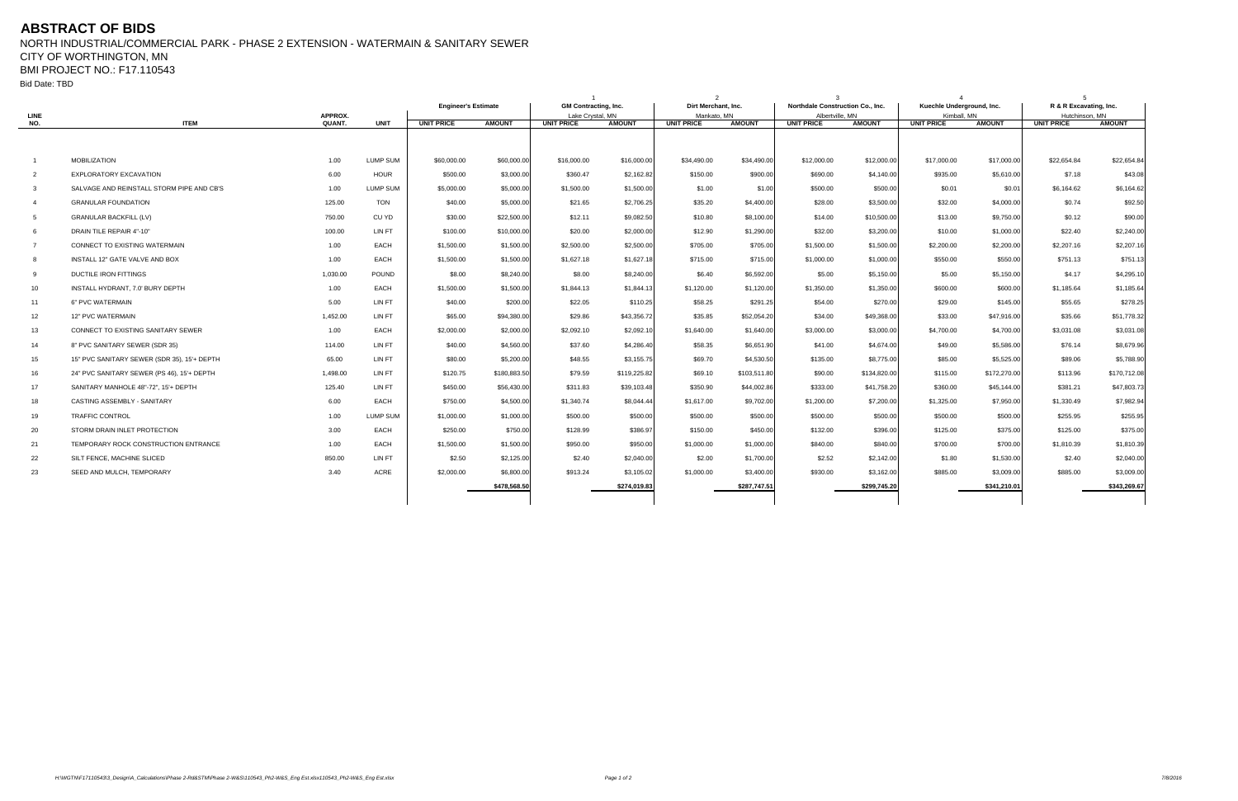## **ABSTRACT OF BIDS**

NORTH INDUSTRIAL/COMMERCIAL PARK - PHASE 2 EXTENSION - WATERMAIN & SANITARY SEWER CITY OF WORTHINGTON, MN

BMI PROJECT NO.: F17.110543

Bid Date: TBD

|                 |                                             |                   |                 | <b>Engineer's Estimate</b> |               | <b>GM Contracting, Inc.</b>           |               | Dirt Merchant, Inc.                               |              | Northdale Construction Co., Inc.                      |              | Kuechle Underground, Inc.        |               | R & R Excavating, Inc.              |               |
|-----------------|---------------------------------------------|-------------------|-----------------|----------------------------|---------------|---------------------------------------|---------------|---------------------------------------------------|--------------|-------------------------------------------------------|--------------|----------------------------------|---------------|-------------------------------------|---------------|
| LINE            |                                             | APPROX.<br>QUANT. | <b>UNIT</b>     | <b>UNIT PRICE</b>          | <b>AMOUNT</b> | Lake Crystal, MN<br><b>UNIT PRICE</b> |               | Mankato, MN<br><b>UNIT PRICE</b><br><b>AMOUNT</b> |              | Albertville, MN<br><b>UNIT PRICE</b><br><b>AMOUNT</b> |              | Kimball, MN<br><b>UNIT PRICE</b> |               | Hutchinson, MN<br><b>UNIT PRICE</b> |               |
| NO.             | <b>ITEM</b>                                 |                   |                 |                            |               |                                       | <b>AMOUNT</b> |                                                   |              |                                                       |              |                                  | <b>AMOUNT</b> |                                     | <b>AMOUNT</b> |
|                 |                                             |                   |                 |                            |               |                                       |               |                                                   |              |                                                       |              |                                  |               |                                     |               |
| $\overline{1}$  | <b>MOBILIZATION</b>                         | 1.00              | <b>LUMP SUM</b> | \$60,000.00                | \$60,000.00   | \$16,000.00                           | \$16,000.00   | \$34,490.00                                       | \$34,490.00  | \$12,000.00                                           | \$12,000.00  | \$17,000.00                      | \$17,000.00   | \$22,654.84                         | \$22,654.84   |
| $\overline{2}$  | <b>EXPLORATORY EXCAVATION</b>               | 6.00              | <b>HOUR</b>     | \$500.00                   | \$3,000.00    | \$360.47                              | \$2,162.82    | \$150.00                                          | \$900.00     | \$690.00                                              | \$4,140.00   | \$935.00                         | \$5.610.00    | \$7.18                              | \$43.08       |
| $\mathbf{3}$    | SALVAGE AND REINSTALL STORM PIPE AND CB'S   | 1.00              | <b>LUMP SUM</b> | \$5,000.00                 | \$5,000.00    | \$1,500.00                            | \$1,500.00    | \$1.00                                            | \$1.00       | \$500.00                                              | \$500.00     | \$0.01                           | \$0.01        | \$6,164.62                          | \$6,164.62    |
| $\overline{4}$  | <b>GRANULAR FOUNDATION</b>                  | 125.00            | <b>TON</b>      | \$40.00                    | \$5,000.00    | \$21.65                               | \$2,706.25    | \$35.20                                           | \$4,400.00   | \$28.00                                               | \$3,500.00   | \$32.00                          | \$4,000.00    | \$0.74                              | \$92.50       |
| 5               | <b>GRANULAR BACKFILL (LV)</b>               | 750.00            | CU YD           | \$30.00                    | \$22,500.00   | \$12.11                               | \$9,082.50    | \$10.80                                           | \$8,100.00   | \$14.00                                               | \$10,500.00  | \$13.00                          | \$9,750.00    | \$0.12                              | \$90.00       |
| -6              | DRAIN TILE REPAIR 4"-10"                    | 100.00            | LIN FT          | \$100.00                   | \$10,000.00   | \$20.00                               | \$2,000.00    | \$12.90                                           | \$1,290.00   | \$32.00                                               | \$3,200.00   | \$10.00                          | \$1,000.00    | \$22.40                             | \$2,240.00    |
| $\overline{7}$  | CONNECT TO EXISTING WATERMAIN               | 1.00              | EACH            | \$1,500.00                 | \$1,500.00    | \$2,500.00                            | \$2,500.00    | \$705.00                                          | \$705.00     | \$1,500.00                                            | \$1,500.00   | \$2,200.00                       | \$2,200.00    | \$2,207.16                          | \$2,207.16    |
| -8              | INSTALL 12" GATE VALVE AND BOX              | 1.00              | EACH            | \$1,500.00                 | \$1,500.00    | \$1,627.18                            | \$1,627.18    | \$715.00                                          | \$715.00     | \$1,000.00                                            | \$1,000.00   | \$550.00                         | \$550.00      | \$751.13                            | \$751.13      |
| 9               | DUCTILE IRON FITTINGS                       | 1,030.00          | <b>POUND</b>    | \$8.00                     | \$8,240.00    | \$8.00                                | \$8,240.00    | \$6.40                                            | \$6,592.00   | \$5.00                                                | \$5,150.00   | \$5.00                           | \$5,150.00    | \$4.17                              | \$4,295.10    |
| 10 <sup>°</sup> | INSTALL HYDRANT, 7.0' BURY DEPTH            | 1.00              | EACH            | \$1,500.00                 | \$1,500.00    | \$1,844.13                            | \$1.844.13    | \$1,120.00                                        | \$1,120.00   | \$1,350.00                                            | \$1,350.00   | \$600.00                         | \$600.00      | \$1,185.64                          | \$1,185.64    |
| 11              | 6" PVC WATERMAIN                            | 5.00              | LIN FT          | \$40.00                    | \$200.00      | \$22.05                               | \$110.25      | \$58.25                                           | \$291.25     | \$54.00                                               | \$270.00     | \$29.00                          | \$145.00      | \$55.65                             | \$278.25      |
| 12              | <b>12" PVC WATERMAIN</b>                    | 1,452.00          | LIN FT          | \$65.00                    | \$94,380.00   | \$29.86                               | \$43,356.72   | \$35.85                                           | \$52,054.20  | \$34.00                                               | \$49,368.00  | \$33.00                          | \$47.916.00   | \$35.66                             | \$51,778.32   |
| 13              | CONNECT TO EXISTING SANITARY SEWER          | 1.00              | EACH            | \$2,000.00                 | \$2,000.00    | \$2,092.10                            | \$2,092.10    | \$1,640.00                                        | \$1,640.00   | \$3,000.00                                            | \$3,000.00   | \$4,700.00                       | \$4,700.00    | \$3,031.08                          | \$3,031.08    |
| 14              | 8" PVC SANITARY SEWER (SDR 35)              | 114.00            | LIN FT          | \$40.00                    | \$4,560.00    | \$37.60                               | \$4,286.40    | \$58.35                                           | \$6,651.90   | \$41.00                                               | \$4,674.00   | \$49.00                          | \$5,586.00    | \$76.14                             | \$8,679.96    |
| 15              | 15" PVC SANITARY SEWER (SDR 35), 15'+ DEPTH | 65.00             | LIN FT          | \$80.00                    | \$5,200.00    | \$48.55                               | \$3,155.75    | \$69.70                                           | \$4,530.50   | \$135.00                                              | \$8,775.00   | \$85.00                          | \$5,525.00    | \$89.06                             | \$5,788.90    |
| 16              | 24" PVC SANITARY SEWER (PS 46), 15'+ DEPTH  | 1,498.00          | LIN FT          | \$120.75                   | \$180,883.50  | \$79.59                               | \$119,225.82  | \$69.10                                           | \$103,511.80 | \$90.00                                               | \$134,820.00 | \$115.00                         | \$172,270.00  | \$113.96                            | \$170,712.08  |
| 17              | SANITARY MANHOLE 48"-72", 15'+ DEPTH        | 125.40            | LIN FT          | \$450.00                   | \$56,430.00   | \$311.83                              | \$39,103.48   | \$350.90                                          | \$44,002.86  | \$333.00                                              | \$41,758.20  | \$360.00                         | \$45,144.00   | \$381.21                            | \$47,803.73   |
| 18              | CASTING ASSEMBLY - SANITARY                 | 6.00              | EACH            | \$750.00                   | \$4,500.00    | \$1,340.74                            | \$8.044.44    | \$1,617.00                                        | \$9,702.00   | \$1,200.00                                            | \$7,200.00   | \$1,325.00                       | \$7,950.00    | \$1,330.49                          | \$7,982.94    |
| 19              | <b>TRAFFIC CONTROL</b>                      | 1.00              | <b>LUMP SUM</b> | \$1,000.00                 | \$1,000.00    | \$500.00                              | \$500.00      | \$500.00                                          | \$500.00     | \$500.00                                              | \$500.00     | \$500.00                         | \$500.00      | \$255.95                            | \$255.95      |
| 20              | STORM DRAIN INLET PROTECTION                | 3.00              | EACH            | \$250.00                   | \$750.00      | \$128.99                              | \$386.97      | \$150.00                                          | \$450.00     | \$132.00                                              | \$396.00     | \$125.00                         | \$375.00      | \$125.00                            | \$375.00      |
| 21              | TEMPORARY ROCK CONSTRUCTION ENTRANCE        | 1.00              | EACH            | \$1,500.00                 | \$1,500.00    | \$950.00                              | \$950.00      | \$1,000.00                                        | \$1,000.00   | \$840.00                                              | \$840.00     | \$700.00                         | \$700.00      | \$1,810.39                          | \$1,810.39    |
| 22              | SILT FENCE, MACHINE SLICED                  | 850.00            | LIN FT          | \$2.50                     | \$2,125.00    | \$2.40                                | \$2,040.00    | \$2.00                                            | \$1,700.00   | \$2.52                                                | \$2,142.00   | \$1.80                           | \$1,530.00    | \$2.40                              | \$2,040.00    |
| 23              | SEED AND MULCH, TEMPORARY                   | 3.40              | <b>ACRE</b>     | \$2,000.00                 | \$6,800.00    | \$913.24                              | \$3,105.02    | \$1,000.00                                        | \$3,400.00   | \$930.00                                              | \$3,162.00   | \$885.00                         | \$3,009.00    | \$885.00                            | \$3,009.00    |
|                 |                                             |                   |                 |                            | \$478,568.50  |                                       | \$274,019.83  |                                                   | \$287,747.5  |                                                       | \$299,745.20 |                                  | \$341,210.01  |                                     | \$343,269.67  |
|                 |                                             |                   |                 |                            |               |                                       |               |                                                   |              |                                                       |              |                                  |               |                                     |               |